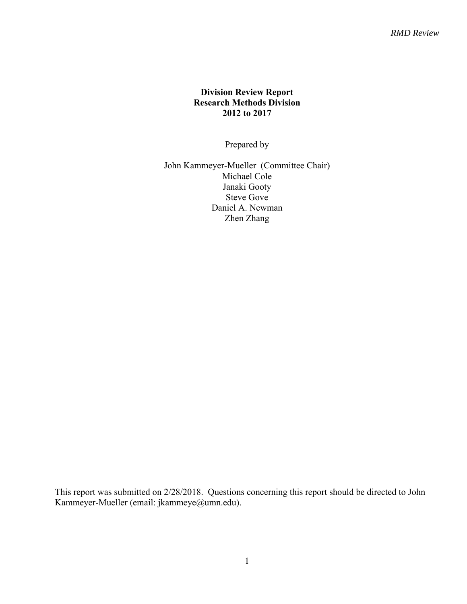## **Division Review Report Research Methods Division 2012 to 2017**

Prepared by

John Kammeyer-Mueller (Committee Chair) Michael Cole Janaki Gooty Steve Gove Daniel A. Newman Zhen Zhang

This report was submitted on 2/28/2018. Questions concerning this report should be directed to John Kammeyer-Mueller (email: jkammeye@umn.edu).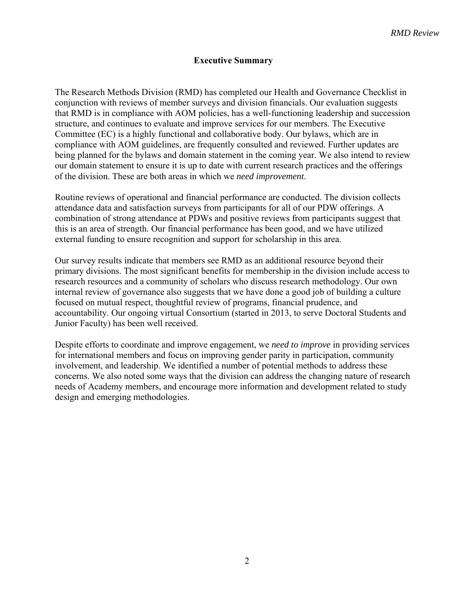## **Executive Summary**

The Research Methods Division (RMD) has completed our Health and Governance Checklist in conjunction with reviews of member surveys and division financials. Our evaluation suggests that RMD is in compliance with AOM policies, has a well-functioning leadership and succession structure, and continues to evaluate and improve services for our members. The Executive Committee (EC) is a highly functional and collaborative body. Our bylaws, which are in compliance with AOM guidelines, are frequently consulted and reviewed. Further updates are being planned for the bylaws and domain statement in the coming year. We also intend to review our domain statement to ensure it is up to date with current research practices and the offerings of the division. These are both areas in which we *need improvement*.

Routine reviews of operational and financial performance are conducted. The division collects attendance data and satisfaction surveys from participants for all of our PDW offerings. A combination of strong attendance at PDWs and positive reviews from participants suggest that this is an area of strength. Our financial performance has been good, and we have utilized external funding to ensure recognition and support for scholarship in this area.

Our survey results indicate that members see RMD as an additional resource beyond their primary divisions. The most significant benefits for membership in the division include access to research resources and a community of scholars who discuss research methodology. Our own internal review of governance also suggests that we have done a good job of building a culture focused on mutual respect, thoughtful review of programs, financial prudence, and accountability. Our ongoing virtual Consortium (started in 2013, to serve Doctoral Students and Junior Faculty) has been well received.

Despite efforts to coordinate and improve engagement, we *need to improve* in providing services for international members and focus on improving gender parity in participation, community involvement, and leadership. We identified a number of potential methods to address these concerns. We also noted some ways that the division can address the changing nature of research needs of Academy members, and encourage more information and development related to study design and emerging methodologies.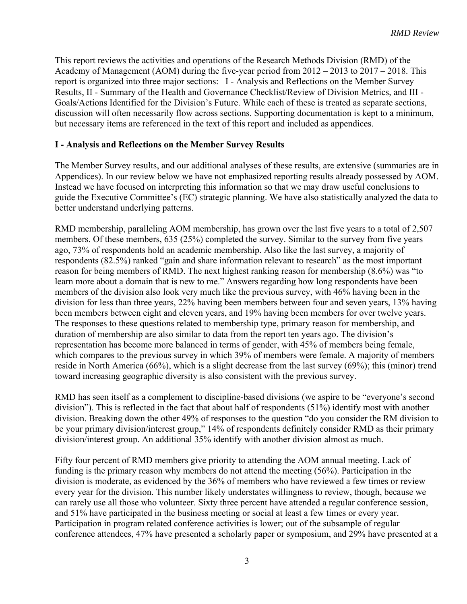This report reviews the activities and operations of the Research Methods Division (RMD) of the Academy of Management (AOM) during the five-year period from 2012 – 2013 to 2017 – 2018. This report is organized into three major sections: I - Analysis and Reflections on the Member Survey Results, II - Summary of the Health and Governance Checklist/Review of Division Metrics, and III - Goals/Actions Identified for the Division's Future. While each of these is treated as separate sections, discussion will often necessarily flow across sections. Supporting documentation is kept to a minimum, but necessary items are referenced in the text of this report and included as appendices.

### **I - Analysis and Reflections on the Member Survey Results**

The Member Survey results, and our additional analyses of these results, are extensive (summaries are in Appendices). In our review below we have not emphasized reporting results already possessed by AOM. Instead we have focused on interpreting this information so that we may draw useful conclusions to guide the Executive Committee's (EC) strategic planning. We have also statistically analyzed the data to better understand underlying patterns.

RMD membership, paralleling AOM membership, has grown over the last five years to a total of 2,507 members. Of these members, 635 (25%) completed the survey. Similar to the survey from five years ago, 73% of respondents hold an academic membership. Also like the last survey, a majority of respondents (82.5%) ranked "gain and share information relevant to research" as the most important reason for being members of RMD. The next highest ranking reason for membership (8.6%) was "to learn more about a domain that is new to me." Answers regarding how long respondents have been members of the division also look very much like the previous survey, with 46% having been in the division for less than three years, 22% having been members between four and seven years, 13% having been members between eight and eleven years, and 19% having been members for over twelve years. The responses to these questions related to membership type, primary reason for membership, and duration of membership are also similar to data from the report ten years ago. The division's representation has become more balanced in terms of gender, with 45% of members being female, which compares to the previous survey in which 39% of members were female. A majority of members reside in North America (66%), which is a slight decrease from the last survey (69%); this (minor) trend toward increasing geographic diversity is also consistent with the previous survey.

RMD has seen itself as a complement to discipline-based divisions (we aspire to be "everyone's second division"). This is reflected in the fact that about half of respondents (51%) identify most with another division. Breaking down the other 49% of responses to the question "do you consider the RM division to be your primary division/interest group," 14% of respondents definitely consider RMD as their primary division/interest group. An additional 35% identify with another division almost as much.

Fifty four percent of RMD members give priority to attending the AOM annual meeting. Lack of funding is the primary reason why members do not attend the meeting (56%). Participation in the division is moderate, as evidenced by the 36% of members who have reviewed a few times or review every year for the division. This number likely understates willingness to review, though, because we can rarely use all those who volunteer. Sixty three percent have attended a regular conference session, and 51% have participated in the business meeting or social at least a few times or every year. Participation in program related conference activities is lower; out of the subsample of regular conference attendees, 47% have presented a scholarly paper or symposium, and 29% have presented at a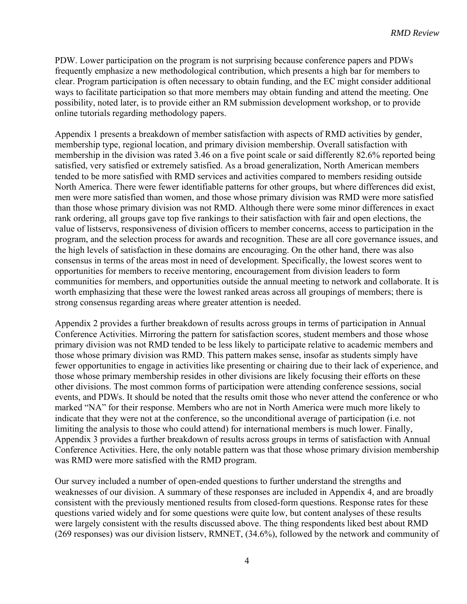PDW. Lower participation on the program is not surprising because conference papers and PDWs frequently emphasize a new methodological contribution, which presents a high bar for members to clear. Program participation is often necessary to obtain funding, and the EC might consider additional ways to facilitate participation so that more members may obtain funding and attend the meeting. One possibility, noted later, is to provide either an RM submission development workshop, or to provide online tutorials regarding methodology papers.

Appendix 1 presents a breakdown of member satisfaction with aspects of RMD activities by gender, membership type, regional location, and primary division membership. Overall satisfaction with membership in the division was rated 3.46 on a five point scale or said differently 82.6% reported being satisfied, very satisfied or extremely satisfied. As a broad generalization, North American members tended to be more satisfied with RMD services and activities compared to members residing outside North America. There were fewer identifiable patterns for other groups, but where differences did exist, men were more satisfied than women, and those whose primary division was RMD were more satisfied than those whose primary division was not RMD. Although there were some minor differences in exact rank ordering, all groups gave top five rankings to their satisfaction with fair and open elections, the value of listservs, responsiveness of division officers to member concerns, access to participation in the program, and the selection process for awards and recognition. These are all core governance issues, and the high levels of satisfaction in these domains are encouraging. On the other hand, there was also consensus in terms of the areas most in need of development. Specifically, the lowest scores went to opportunities for members to receive mentoring, encouragement from division leaders to form communities for members, and opportunities outside the annual meeting to network and collaborate. It is worth emphasizing that these were the lowest ranked areas across all groupings of members; there is strong consensus regarding areas where greater attention is needed.

Appendix 2 provides a further breakdown of results across groups in terms of participation in Annual Conference Activities. Mirroring the pattern for satisfaction scores, student members and those whose primary division was not RMD tended to be less likely to participate relative to academic members and those whose primary division was RMD. This pattern makes sense, insofar as students simply have fewer opportunities to engage in activities like presenting or chairing due to their lack of experience, and those whose primary membership resides in other divisions are likely focusing their efforts on these other divisions. The most common forms of participation were attending conference sessions, social events, and PDWs. It should be noted that the results omit those who never attend the conference or who marked "NA" for their response. Members who are not in North America were much more likely to indicate that they were not at the conference, so the unconditional average of participation (i.e. not limiting the analysis to those who could attend) for international members is much lower. Finally, Appendix 3 provides a further breakdown of results across groups in terms of satisfaction with Annual Conference Activities. Here, the only notable pattern was that those whose primary division membership was RMD were more satisfied with the RMD program.

Our survey included a number of open-ended questions to further understand the strengths and weaknesses of our division. A summary of these responses are included in Appendix 4, and are broadly consistent with the previously mentioned results from closed-form questions. Response rates for these questions varied widely and for some questions were quite low, but content analyses of these results were largely consistent with the results discussed above. The thing respondents liked best about RMD (269 responses) was our division listserv, RMNET, (34.6%), followed by the network and community of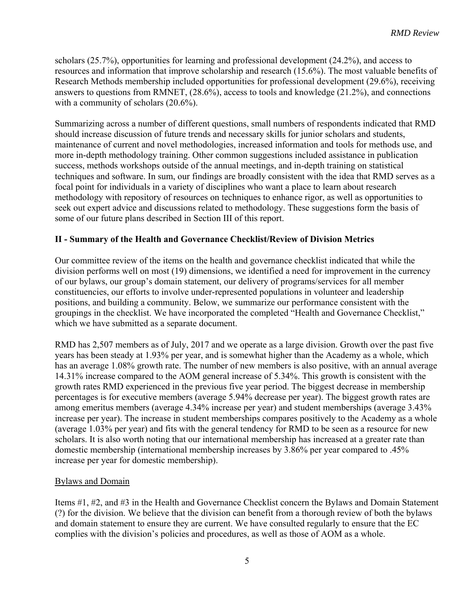scholars (25.7%), opportunities for learning and professional development (24.2%), and access to resources and information that improve scholarship and research (15.6%). The most valuable benefits of Research Methods membership included opportunities for professional development (29.6%), receiving answers to questions from RMNET, (28.6%), access to tools and knowledge (21.2%), and connections with a community of scholars  $(20.6\%)$ .

Summarizing across a number of different questions, small numbers of respondents indicated that RMD should increase discussion of future trends and necessary skills for junior scholars and students, maintenance of current and novel methodologies, increased information and tools for methods use, and more in-depth methodology training. Other common suggestions included assistance in publication success, methods workshops outside of the annual meetings, and in-depth training on statistical techniques and software. In sum, our findings are broadly consistent with the idea that RMD serves as a focal point for individuals in a variety of disciplines who want a place to learn about research methodology with repository of resources on techniques to enhance rigor, as well as opportunities to seek out expert advice and discussions related to methodology. These suggestions form the basis of some of our future plans described in Section III of this report.

## **II - Summary of the Health and Governance Checklist/Review of Division Metrics**

Our committee review of the items on the health and governance checklist indicated that while the division performs well on most (19) dimensions, we identified a need for improvement in the currency of our bylaws, our group's domain statement, our delivery of programs/services for all member constituencies, our efforts to involve under-represented populations in volunteer and leadership positions, and building a community. Below, we summarize our performance consistent with the groupings in the checklist. We have incorporated the completed "Health and Governance Checklist," which we have submitted as a separate document.

RMD has 2,507 members as of July, 2017 and we operate as a large division. Growth over the past five years has been steady at 1.93% per year, and is somewhat higher than the Academy as a whole, which has an average 1.08% growth rate. The number of new members is also positive, with an annual average 14.31% increase compared to the AOM general increase of 5.34%. This growth is consistent with the growth rates RMD experienced in the previous five year period. The biggest decrease in membership percentages is for executive members (average 5.94% decrease per year). The biggest growth rates are among emeritus members (average 4.34% increase per year) and student memberships (average 3.43% increase per year). The increase in student memberships compares positively to the Academy as a whole (average 1.03% per year) and fits with the general tendency for RMD to be seen as a resource for new scholars. It is also worth noting that our international membership has increased at a greater rate than domestic membership (international membership increases by 3.86% per year compared to .45% increase per year for domestic membership).

### Bylaws and Domain

Items #1, #2, and #3 in the Health and Governance Checklist concern the Bylaws and Domain Statement (?) for the division. We believe that the division can benefit from a thorough review of both the bylaws and domain statement to ensure they are current. We have consulted regularly to ensure that the EC complies with the division's policies and procedures, as well as those of AOM as a whole.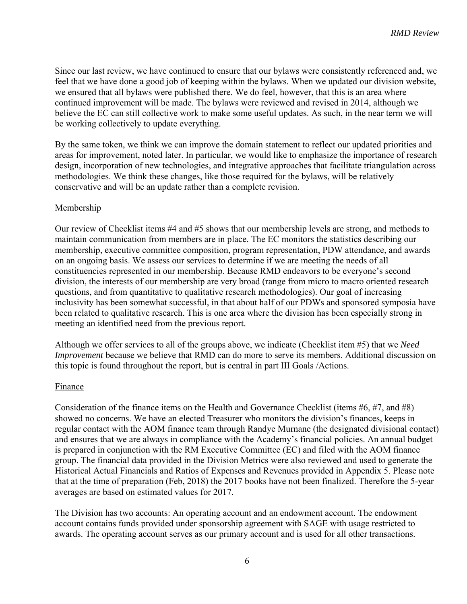Since our last review, we have continued to ensure that our bylaws were consistently referenced and, we feel that we have done a good job of keeping within the bylaws. When we updated our division website, we ensured that all bylaws were published there. We do feel, however, that this is an area where continued improvement will be made. The bylaws were reviewed and revised in 2014, although we believe the EC can still collective work to make some useful updates. As such, in the near term we will be working collectively to update everything.

By the same token, we think we can improve the domain statement to reflect our updated priorities and areas for improvement, noted later. In particular, we would like to emphasize the importance of research design, incorporation of new technologies, and integrative approaches that facilitate triangulation across methodologies. We think these changes, like those required for the bylaws, will be relatively conservative and will be an update rather than a complete revision.

### Membership

Our review of Checklist items #4 and #5 shows that our membership levels are strong, and methods to maintain communication from members are in place. The EC monitors the statistics describing our membership, executive committee composition, program representation, PDW attendance, and awards on an ongoing basis. We assess our services to determine if we are meeting the needs of all constituencies represented in our membership. Because RMD endeavors to be everyone's second division, the interests of our membership are very broad (range from micro to macro oriented research questions, and from quantitative to qualitative research methodologies). Our goal of increasing inclusivity has been somewhat successful, in that about half of our PDWs and sponsored symposia have been related to qualitative research. This is one area where the division has been especially strong in meeting an identified need from the previous report.

Although we offer services to all of the groups above, we indicate (Checklist item #5) that we *Need Improvement* because we believe that RMD can do more to serve its members. Additional discussion on this topic is found throughout the report, but is central in part III Goals /Actions.

### Finance

Consideration of the finance items on the Health and Governance Checklist (items #6, #7, and #8) showed no concerns. We have an elected Treasurer who monitors the division's finances, keeps in regular contact with the AOM finance team through Randye Murnane (the designated divisional contact) and ensures that we are always in compliance with the Academy's financial policies. An annual budget is prepared in conjunction with the RM Executive Committee (EC) and filed with the AOM finance group. The financial data provided in the Division Metrics were also reviewed and used to generate the Historical Actual Financials and Ratios of Expenses and Revenues provided in Appendix 5. Please note that at the time of preparation (Feb, 2018) the 2017 books have not been finalized. Therefore the 5-year averages are based on estimated values for 2017.

The Division has two accounts: An operating account and an endowment account. The endowment account contains funds provided under sponsorship agreement with SAGE with usage restricted to awards. The operating account serves as our primary account and is used for all other transactions.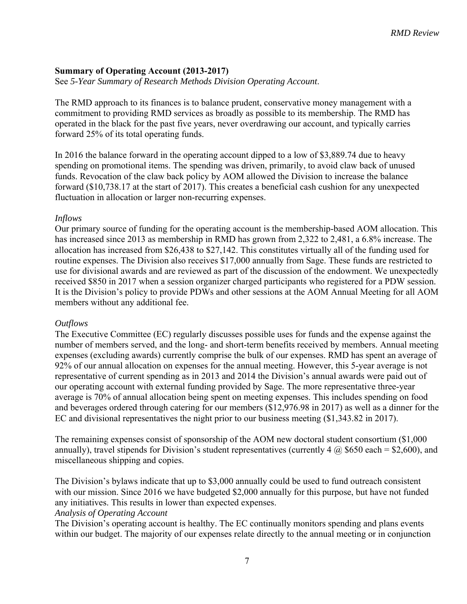## **Summary of Operating Account (2013-2017)**

See *5-Year Summary of Research Methods Division Operating Account*.

The RMD approach to its finances is to balance prudent, conservative money management with a commitment to providing RMD services as broadly as possible to its membership. The RMD has operated in the black for the past five years, never overdrawing our account, and typically carries forward 25% of its total operating funds.

In 2016 the balance forward in the operating account dipped to a low of \$3,889.74 due to heavy spending on promotional items. The spending was driven, primarily, to avoid claw back of unused funds. Revocation of the claw back policy by AOM allowed the Division to increase the balance forward (\$10,738.17 at the start of 2017). This creates a beneficial cash cushion for any unexpected fluctuation in allocation or larger non-recurring expenses.

#### *Inflows*

Our primary source of funding for the operating account is the membership-based AOM allocation. This has increased since 2013 as membership in RMD has grown from 2,322 to 2,481, a 6.8% increase. The allocation has increased from \$26,438 to \$27,142. This constitutes virtually all of the funding used for routine expenses. The Division also receives \$17,000 annually from Sage. These funds are restricted to use for divisional awards and are reviewed as part of the discussion of the endowment. We unexpectedly received \$850 in 2017 when a session organizer charged participants who registered for a PDW session. It is the Division's policy to provide PDWs and other sessions at the AOM Annual Meeting for all AOM members without any additional fee.

### *Outflows*

The Executive Committee (EC) regularly discusses possible uses for funds and the expense against the number of members served, and the long- and short-term benefits received by members. Annual meeting expenses (excluding awards) currently comprise the bulk of our expenses. RMD has spent an average of 92% of our annual allocation on expenses for the annual meeting. However, this 5-year average is not representative of current spending as in 2013 and 2014 the Division's annual awards were paid out of our operating account with external funding provided by Sage. The more representative three-year average is 70% of annual allocation being spent on meeting expenses. This includes spending on food and beverages ordered through catering for our members (\$12,976.98 in 2017) as well as a dinner for the EC and divisional representatives the night prior to our business meeting (\$1,343.82 in 2017).

The remaining expenses consist of sponsorship of the AOM new doctoral student consortium (\$1,000 annually), travel stipends for Division's student representatives (currently 4  $\omega$  \$650 each = \$2,600), and miscellaneous shipping and copies.

The Division's bylaws indicate that up to \$3,000 annually could be used to fund outreach consistent with our mission. Since 2016 we have budgeted \$2,000 annually for this purpose, but have not funded any initiatives. This results in lower than expected expenses.

### *Analysis of Operating Account*

The Division's operating account is healthy. The EC continually monitors spending and plans events within our budget. The majority of our expenses relate directly to the annual meeting or in conjunction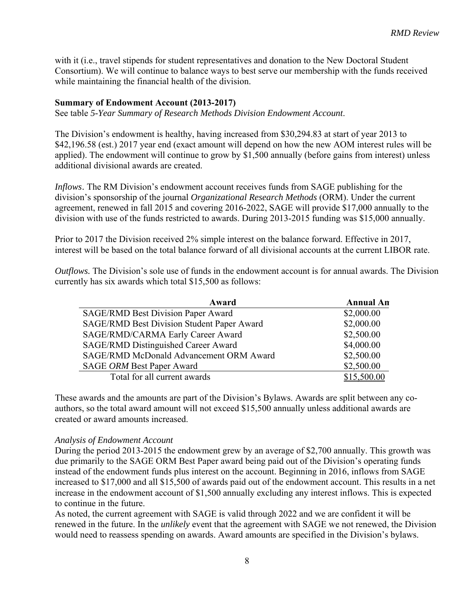with it (i.e., travel stipends for student representatives and donation to the New Doctoral Student Consortium). We will continue to balance ways to best serve our membership with the funds received while maintaining the financial health of the division.

### **Summary of Endowment Account (2013-2017)**

See table *5-Year Summary of Research Methods Division Endowment Account*.

The Division's endowment is healthy, having increased from \$30,294.83 at start of year 2013 to \$42,196.58 (est.) 2017 year end (exact amount will depend on how the new AOM interest rules will be applied). The endowment will continue to grow by \$1,500 annually (before gains from interest) unless additional divisional awards are created.

*Inflows .* The RM Division's endowment account receives funds from SAGE publishing for the division's sponsorship of the journal *Organizational Research Methods* (ORM). Under the current agreement, renewed in fall 2015 and covering 2016-2022, SAGE will provide \$17,000 annually to the division with use of the funds restricted to awards. During 2013-2015 funding was \$15,000 annually.

Prior to 2017 the Division received 2% simple interest on the balance forward. Effective in 2017, interest will be based on the total balance forward of all divisional accounts at the current LIBOR rate.

*Outflows.* The Division's sole use of funds in the endowment account is for annual awards. The Division currently has six awards which total \$15,500 as follows:

| Award                                      | <b>Annual An</b> |
|--------------------------------------------|------------------|
| <b>SAGE/RMD Best Division Paper Award</b>  | \$2,000.00       |
| SAGE/RMD Best Division Student Paper Award | \$2,000.00       |
| SAGE/RMD/CARMA Early Career Award          | \$2,500.00       |
| SAGE/RMD Distinguished Career Award        | \$4,000.00       |
| SAGE/RMD McDonald Advancement ORM Award    | \$2,500.00       |
| SAGE ORM Best Paper Award                  | \$2,500.00       |
| Total for all current awards               | \$15,500.00      |

These awards and the amounts are part of the Division's Bylaws. Awards are split between any coauthors, so the total award amount will not exceed \$15,500 annually unless additional awards are created or award amounts increased.

#### *Analysis of Endowment Account*

During the period 2013-2015 the endowment grew by an average of \$2,700 annually. This growth was due primarily to the SAGE ORM Best Paper award being paid out of the Division's operating funds instead of the endowment funds plus interest on the account. Beginning in 2016, inflows from SAGE increased to \$17,000 and all \$15,500 of awards paid out of the endowment account. This results in a net increase in the endowment account of \$1,500 annually excluding any interest inflows. This is expected to continue in the future.

As noted, the current agreement with SAGE is valid through 2022 and we are confident it will be renewed in the future. In the *unlikely* event that the agreement with SAGE we not renewed, the Division would need to reassess spending on awards. Award amounts are specified in the Division's bylaws.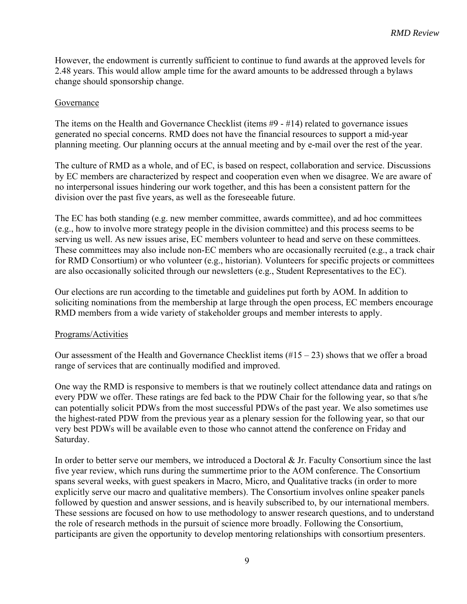However, the endowment is currently sufficient to continue to fund awards at the approved levels for 2.48 years. This would allow ample time for the award amounts to be addressed through a bylaws change should sponsorship change.

#### Governance

The items on the Health and Governance Checklist (items #9 - #14) related to governance issues generated no special concerns. RMD does not have the financial resources to support a mid-year planning meeting. Our planning occurs at the annual meeting and by e-mail over the rest of the year.

The culture of RMD as a whole, and of EC, is based on respect, collaboration and service. Discussions by EC members are characterized by respect and cooperation even when we disagree. We are aware of no interpersonal issues hindering our work together, and this has been a consistent pattern for the division over the past five years, as well as the foreseeable future.

The EC has both standing (e.g. new member committee, awards committee), and ad hoc committees (e.g., how to involve more strategy people in the division committee) and this process seems to be serving us well. As new issues arise, EC members volunteer to head and serve on these committees. These committees may also include non-EC members who are occasionally recruited (e.g., a track chair for RMD Consortium) or who volunteer (e.g., historian). Volunteers for specific projects or committees are also occasionally solicited through our newsletters (e.g., Student Representatives to the EC).

Our elections are run according to the timetable and guidelines put forth by AOM. In addition to soliciting nominations from the membership at large through the open process, EC members encourage RMD members from a wide variety of stakeholder groups and member interests to apply.

#### Programs/Activities

Our assessment of the Health and Governance Checklist items  $(\#15 - 23)$  shows that we offer a broad range of services that are continually modified and improved.

One way the RMD is responsive to members is that we routinely collect attendance data and ratings on every PDW we offer. These ratings are fed back to the PDW Chair for the following year, so that s/he can potentially solicit PDWs from the most successful PDWs of the past year. We also sometimes use the highest-rated PDW from the previous year as a plenary session for the following year, so that our very best PDWs will be available even to those who cannot attend the conference on Friday and Saturday.

In order to better serve our members, we introduced a Doctoral & Jr. Faculty Consortium since the last five year review, which runs during the summertime prior to the AOM conference. The Consortium spans several weeks, with guest speakers in Macro, Micro, and Qualitative tracks (in order to more explicitly serve our macro and qualitative members). The Consortium involves online speaker panels followed by question and answer sessions, and is heavily subscribed to, by our international members. These sessions are focused on how to use methodology to answer research questions, and to understand the role of research methods in the pursuit of science more broadly. Following the Consortium, participants are given the opportunity to develop mentoring relationships with consortium presenters.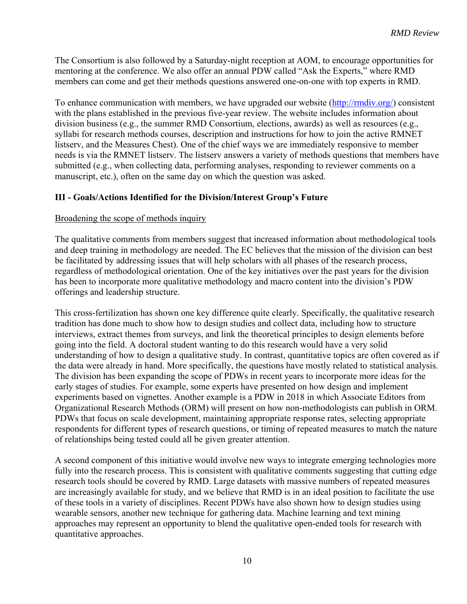The Consortium is also followed by a Saturday-night reception at AOM, to encourage opportunities for mentoring at the conference. We also offer an annual PDW called "Ask the Experts," where RMD members can come and get their methods questions answered one-on-one with top experts in RMD.

To enhance communication with members, we have upgraded our website  $(\frac{http://rmdiv.org/}{comp/})$  consistent with the plans established in the previous five-year review. The website includes information about division business (e.g., the summer RMD Consortium, elections, awards) as well as resources (e.g., syllabi for research methods courses, description and instructions for how to join the active RMNET listserv, and the Measures Chest). One of the chief ways we are immediately responsive to member needs is via the RMNET listserv. The listserv answers a variety of methods questions that members have submitted (e.g., when collecting data, performing analyses, responding to reviewer comments on a manuscript, etc.), often on the same day on which the question was asked.

## **III - Goals/Actions Identified for the Division/Interest Group's Future**

## Broadening the scope of methods inquiry

The qualitative comments from members suggest that increased information about methodological tools and deep training in methodology are needed. The EC believes that the mission of the division can best be facilitated by addressing issues that will help scholars with all phases of the research process, regardless of methodological orientation. One of the key initiatives over the past years for the division has been to incorporate more qualitative methodology and macro content into the division's PDW offerings and leadership structure.

This cross-fertilization has shown one key difference quite clearly. Specifically, the qualitative research tradition has done much to show how to design studies and collect data, including how to structure interviews, extract themes from surveys, and link the theoretical principles to design elements before going into the field. A doctoral student wanting to do this research would have a very solid understanding of how to design a qualitative study. In contrast, quantitative topics are often covered as if the data were already in hand. More specifically, the questions have mostly related to statistical analysis. The division has been expanding the scope of PDWs in recent years to incorporate more ideas for the early stages of studies. For example, some experts have presented on how design and implement experiments based on vignettes. Another example is a PDW in 2018 in which Associate Editors from Organizational Research Methods (ORM) will present on how non-methodologists can publish in ORM. PDWs that focus on scale development, maintaining appropriate response rates, selecting appropriate respondents for different types of research questions, or timing of repeated measures to match the nature of relationships being tested could all be given greater attention.

A second component of this initiative would involve new ways to integrate emerging technologies more fully into the research process. This is consistent with qualitative comments suggesting that cutting edge research tools should be covered by RMD. Large datasets with massive numbers of repeated measures are increasingly available for study, and we believe that RMD is in an ideal position to facilitate the use of these tools in a variety of disciplines. Recent PDWs have also shown how to design studies using wearable sensors, another new technique for gathering data. Machine learning and text mining approaches may represent an opportunity to blend the qualitative open-ended tools for research with quantitative approaches.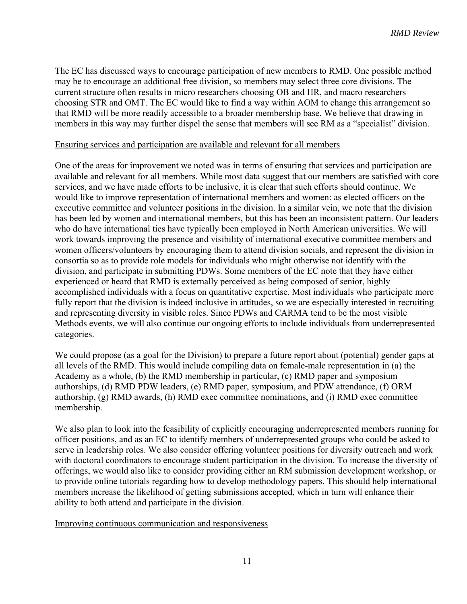The EC has discussed ways to encourage participation of new members to RMD. One possible method may be to encourage an additional free division, so members may select three core divisions. The current structure often results in micro researchers choosing OB and HR, and macro researchers choosing STR and OMT. The EC would like to find a way within AOM to change this arrangement so that RMD will be more readily accessible to a broader membership base. We believe that drawing in members in this way may further dispel the sense that members will see RM as a "specialist" division.

#### Ensuring services and participation are available and relevant for all members

One of the areas for improvement we noted was in terms of ensuring that services and participation are available and relevant for all members. While most data suggest that our members are satisfied with core services, and we have made efforts to be inclusive, it is clear that such efforts should continue. We would like to improve representation of international members and women: as elected officers on the executive committee and volunteer positions in the division. In a similar vein, we note that the division has been led by women and international members, but this has been an inconsistent pattern. Our leaders who do have international ties have typically been employed in North American universities. We will work towards improving the presence and visibility of international executive committee members and women officers/volunteers by encouraging them to attend division socials, and represent the division in consortia so as to provide role models for individuals who might otherwise not identify with the division, and participate in submitting PDWs. Some members of the EC note that they have either experienced or heard that RMD is externally perceived as being composed of senior, highly accomplished individuals with a focus on quantitative expertise. Most individuals who participate more fully report that the division is indeed inclusive in attitudes, so we are especially interested in recruiting and representing diversity in visible roles. Since PDWs and CARMA tend to be the most visible Methods events, we will also continue our ongoing efforts to include individuals from underrepresented categories.

We could propose (as a goal for the Division) to prepare a future report about (potential) gender gaps at all levels of the RMD. This would include compiling data on female-male representation in (a) the Academy as a whole, (b) the RMD membership in particular, (c) RMD paper and symposium authorships, (d) RMD PDW leaders, (e) RMD paper, symposium, and PDW attendance, (f) ORM authorship, (g) RMD awards, (h) RMD exec committee nominations, and (i) RMD exec committee membership.

We also plan to look into the feasibility of explicitly encouraging underrepresented members running for officer positions, and as an EC to identify members of underrepresented groups who could be asked to serve in leadership roles. We also consider offering volunteer positions for diversity outreach and work with doctoral coordinators to encourage student participation in the division. To increase the diversity of offerings, we would also like to consider providing either an RM submission development workshop, or to provide online tutorials regarding how to develop methodology papers. This should help international members increase the likelihood of getting submissions accepted, which in turn will enhance their ability to both attend and participate in the division.

#### Improving continuous communication and responsiveness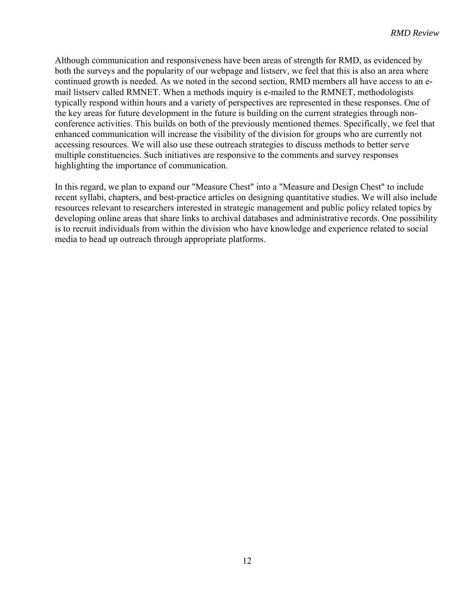Although communication and responsiveness have been areas of strength for RMD, as evidenced by both the surveys and the popularity of our webpage and listserv, we feel that this is also an area where continued growth is needed. As we noted in the second section, RMD members all have access to an email listserv called RMNET. When a methods inquiry is e-mailed to the RMNET, methodologists typically respond within hours and a variety of perspectives are represented in these responses. One of the key areas for future development in the future is building on the current strategies through nonconference activities. This builds on both of the previously mentioned themes. Specifically, we feel that enhanced communication will increase the visibility of the division for groups who are currently not accessing resources. We will also use these outreach strategies to discuss methods to better serve multiple constituencies. Such initiatives are responsive to the comments and survey responses highlighting the importance of communication.

In this regard, we plan to expand our "Measure Chest" into a "Measure and Design Chest" to include recent syllabi, chapters, and best-practice articles on designing quantitative studies. We will also include resources relevant to researchers interested in strategic management and public policy related topics by developing online areas that share links to archival databases and administrative records. One possibility is to recruit individuals from within the division who have knowledge and experience related to social media to head up outreach through appropriate platforms.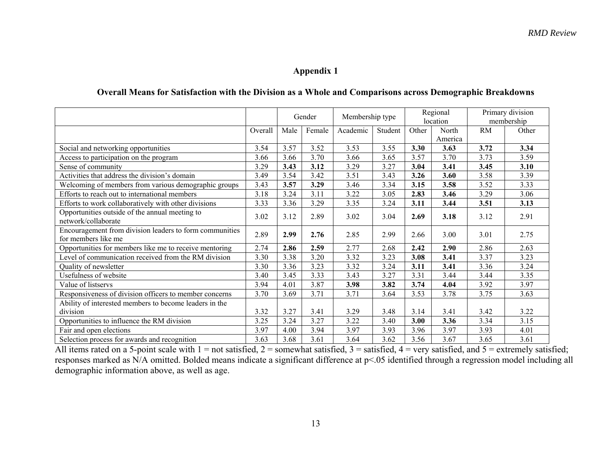## **Appendix 1**

| Overall Means for Satisfaction with the Division as a Whole and Comparisons across Demographic Breakdowns |  |  |
|-----------------------------------------------------------------------------------------------------------|--|--|
|                                                                                                           |  |  |

|                                                                                |         | Gender |        | Membership type |         | Regional<br>location |         | Primary division<br>membership |       |
|--------------------------------------------------------------------------------|---------|--------|--------|-----------------|---------|----------------------|---------|--------------------------------|-------|
|                                                                                | Overall | Male   | Female | Academic        | Student | Other                | North   | <b>RM</b>                      | Other |
|                                                                                |         |        |        |                 |         |                      | America |                                |       |
| Social and networking opportunities                                            | 3.54    | 3.57   | 3.52   | 3.53            | 3.55    | 3.30                 | 3.63    | 3.72                           | 3.34  |
| Access to participation on the program                                         | 3.66    | 3.66   | 3.70   | 3.66            | 3.65    | 3.57                 | 3.70    | 3.73                           | 3.59  |
| Sense of community                                                             | 3.29    | 3.43   | 3.12   | 3.29            | 3.27    | 3.04                 | 3.41    | 3.45                           | 3.10  |
| Activities that address the division's domain                                  | 3.49    | 3.54   | 3.42   | 3.51            | 3.43    | 3.26                 | 3.60    | 3.58                           | 3.39  |
| Welcoming of members from various demographic groups                           | 3.43    | 3.57   | 3.29   | 3.46            | 3.34    | 3.15                 | 3.58    | 3.52                           | 3.33  |
| Efforts to reach out to international members                                  | 3.18    | 3.24   | 3.11   | 3.22            | 3.05    | 2.83                 | 3.46    | 3.29                           | 3.06  |
| Efforts to work collaboratively with other divisions                           | 3.33    | 3.36   | 3.29   | 3.35            | 3.24    | 3.11                 | 3.44    | 3.51                           | 3.13  |
| Opportunities outside of the annual meeting to<br>network/collaborate          | 3.02    | 3.12   | 2.89   | 3.02            | 3.04    | 2.69                 | 3.18    | 3.12                           | 2.91  |
| Encouragement from division leaders to form communities<br>for members like me | 2.89    | 2.99   | 2.76   | 2.85            | 2.99    | 2.66                 | 3.00    | 3.01                           | 2.75  |
| Opportunities for members like me to receive mentoring                         | 2.74    | 2.86   | 2.59   | 2.77            | 2.68    | 2.42                 | 2.90    | 2.86                           | 2.63  |
| Level of communication received from the RM division                           | 3.30    | 3.38   | 3.20   | 3.32            | 3.23    | 3.08                 | 3.41    | 3.37                           | 3.23  |
| Quality of newsletter                                                          | 3.30    | 3.36   | 3.23   | 3.32            | 3.24    | 3.11                 | 3.41    | 3.36                           | 3.24  |
| Usefulness of website                                                          | 3.40    | 3.45   | 3.33   | 3.43            | 3.27    | 3.31                 | 3.44    | 3.44                           | 3.35  |
| Value of listservs                                                             | 3.94    | 4.01   | 3.87   | 3.98            | 3.82    | 3.74                 | 4.04    | 3.92                           | 3.97  |
| Responsiveness of division officers to member concerns                         | 3.70    | 3.69   | 3.71   | 3.71            | 3.64    | 3.53                 | 3.78    | 3.75                           | 3.63  |
| Ability of interested members to become leaders in the                         |         |        |        |                 |         |                      |         |                                |       |
| division                                                                       | 3.32    | 3.27   | 3.41   | 3.29            | 3.48    | 3.14                 | 3.41    | 3.42                           | 3.22  |
| Opportunities to influence the RM division                                     | 3.25    | 3.24   | 3.27   | 3.22            | 3.40    | 3.00                 | 3.36    | 3.34                           | 3.15  |
| Fair and open elections                                                        | 3.97    | 4.00   | 3.94   | 3.97            | 3.93    | 3.96                 | 3.97    | 3.93                           | 4.01  |
| Selection process for awards and recognition                                   | 3.63    | 3.68   | 3.61   | 3.64            | 3.62    | 3.56                 | 3.67    | 3.65                           | 3.61  |

All items rated on a 5-point scale with 1 = not satisfied, 2 = somewhat satisfied, 3 = satisfied, 4 = very satisfied, and 5 = extremely satisfied; responses marked as N/A omitted. Bolded means indicate a significant difference at p<.05 identified through a regression model including all demographic information above, as well as age.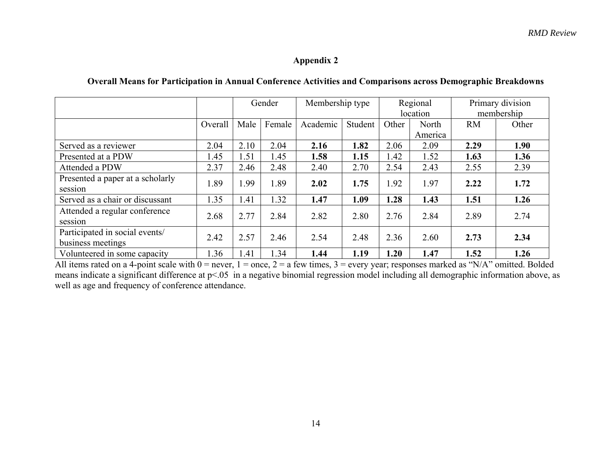## **Appendix 2**

|                                                     |         | Gender |        | Membership type |         | Regional<br>location |         | Primary division<br>membership |       |
|-----------------------------------------------------|---------|--------|--------|-----------------|---------|----------------------|---------|--------------------------------|-------|
|                                                     | Overall | Male   | Female | Academic        | Student | Other                | North   | <b>RM</b>                      | Other |
|                                                     |         |        |        |                 |         |                      | America |                                |       |
| Served as a reviewer                                | 2.04    | 2.10   | 2.04   | 2.16            | 1.82    | 2.06                 | 2.09    | 2.29                           | 1.90  |
| Presented at a PDW                                  | 1.45    | 1.51   | 1.45   | 1.58            | 1.15    | 1.42                 | 1.52    | 1.63                           | 1.36  |
| Attended a PDW                                      | 2.37    | 2.46   | 2.48   | 2.40            | 2.70    | 2.54                 | 2.43    | 2.55                           | 2.39  |
| Presented a paper at a scholarly<br>session         | 1.89    | 1.99   | 1.89   | 2.02            | 1.75    | 1.92                 | 1.97    | 2.22                           | 1.72  |
| Served as a chair or discussant                     | 1.35    | 1.41   | 1.32   | 1.47            | 1.09    | 1.28                 | 1.43    | 1.51                           | 1.26  |
| Attended a regular conference<br>session            | 2.68    | 2.77   | 2.84   | 2.82            | 2.80    | 2.76                 | 2.84    | 2.89                           | 2.74  |
| Participated in social events/<br>business meetings | 2.42    | 2.57   | 2.46   | 2.54            | 2.48    | 2.36                 | 2.60    | 2.73                           | 2.34  |
| Volunteered in some capacity                        | 1.36    | 1.41   | 1.34   | 1.44            | 1.19    | 1.20                 | 1.47    | 1.52                           | 1.26  |

#### **Overall Means for Participation in Annual Conference Activities and Comparisons across Demographic Breakdowns**

All items rated on a 4-point scale with  $0 =$  never,  $1 =$  once,  $2 =$  a few times,  $3 =$  every year; responses marked as "N/A" omitted. Bolded means indicate a significant difference at p<.05 in a negative binomial regression model including all demographic information above, as well as age and frequency of conference attendance.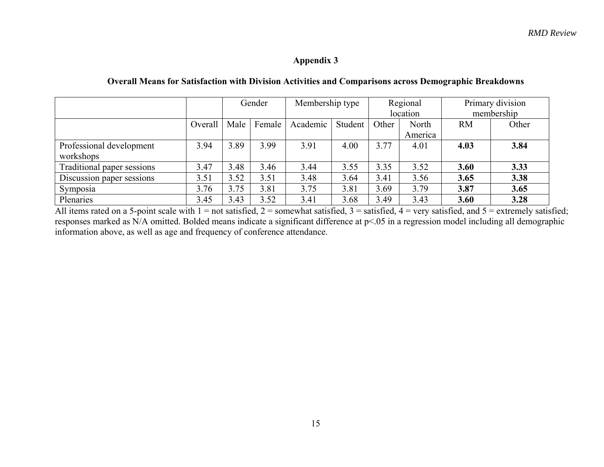## **Appendix 3**

|                            |         | Gender |        | Membership type |         | Regional |         | Primary division |       |
|----------------------------|---------|--------|--------|-----------------|---------|----------|---------|------------------|-------|
|                            |         |        |        |                 |         | location |         | membership       |       |
|                            | Overall | Male   | Female | Academic        | Student | Other    | North   | <b>RM</b>        | Other |
|                            |         |        |        |                 |         |          | America |                  |       |
| Professional development   | 3.94    | 3.89   | 3.99   | 3.91            | 4.00    | 3.77     | 4.01    | 4.03             | 3.84  |
| workshops                  |         |        |        |                 |         |          |         |                  |       |
| Traditional paper sessions | 3.47    | 3.48   | 3.46   | 3.44            | 3.55    | 3.35     | 3.52    | 3.60             | 3.33  |
| Discussion paper sessions  | 3.51    | 3.52   | 3.51   | 3.48            | 3.64    | 3.41     | 3.56    | 3.65             | 3.38  |
| Symposia                   | 3.76    | 3.75   | 3.81   | 3.75            | 3.81    | 3.69     | 3.79    | 3.87             | 3.65  |
| Plenaries                  | 3.45    | 3.43   | 3.52   | 3.41            | 3.68    | 3.49     | 3.43    | 3.60             | 3.28  |

#### **Overall Means for Satisfaction with Division Activities and Comparisons across Demographic Breakdowns**

All items rated on a 5-point scale with  $1 =$  not satisfied,  $2 =$  somewhat satisfied,  $3 =$  satisfied,  $4 =$  very satisfied, and  $5 =$  extremely satisfied; responses marked as N/A omitted. Bolded means indicate a significant difference at p<.05 in a regression model including all demographic information above, as well as age and frequency of conference attendance.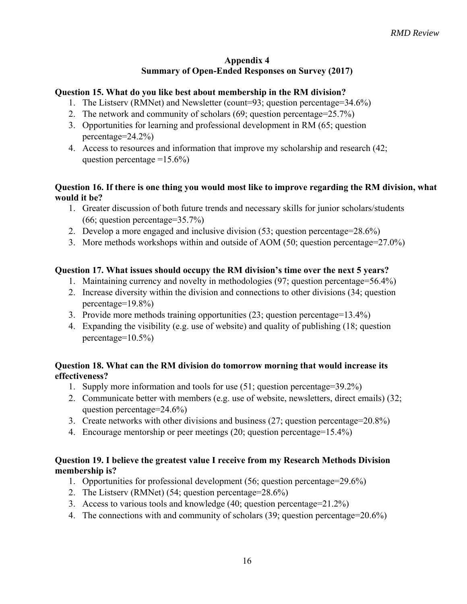## **Appendix 4 Summary of Open-Ended Responses on Survey (2017)**

## **Question 15. What do you like best about membership in the RM division?**

- 1. The Listserv (RMNet) and Newsletter (count=93; question percentage=34.6%)
- 2. The network and community of scholars (69; question percentage=25.7%)
- 3. Opportunities for learning and professional development in RM (65; question percentage=24.2%)
- 4. Access to resources and information that improve my scholarship and research (42; question percentage  $=15.6\%$ )

## **Question 16. If there is one thing you would most like to improve regarding the RM division, what would it be?**

- 1. Greater discussion of both future trends and necessary skills for junior scholars/students (66; question percentage=35.7%)
- 2. Develop a more engaged and inclusive division (53; question percentage=28.6%)
- 3. More methods workshops within and outside of AOM (50; question percentage=27.0%)

## **Question 17. What issues should occupy the RM division's time over the next 5 years?**

- 1. Maintaining currency and novelty in methodologies (97; question percentage=56.4%)
- 2. Increase diversity within the division and connections to other divisions (34; question percentage=19.8%)
- 3. Provide more methods training opportunities (23; question percentage=13.4%)
- 4. Expanding the visibility (e.g. use of website) and quality of publishing (18; question percentage= $10.5\%$ )

## **Question 18. What can the RM division do tomorrow morning that would increase its effectiveness?**

- 1. Supply more information and tools for use (51; question percentage=39.2%)
- 2. Communicate better with members (e.g. use of website, newsletters, direct emails) (32; question percentage=24.6%)
- 3. Create networks with other divisions and business (27; question percentage=20.8%)
- 4. Encourage mentorship or peer meetings (20; question percentage=15.4%)

## **Question 19. I believe the greatest value I receive from my Research Methods Division membership is?**

- 1. Opportunities for professional development (56; question percentage=29.6%)
- 2. The Listserv (RMNet) (54; question percentage=28.6%)
- 3. Access to various tools and knowledge (40; question percentage=21.2%)
- 4. The connections with and community of scholars (39; question percentage=20.6%)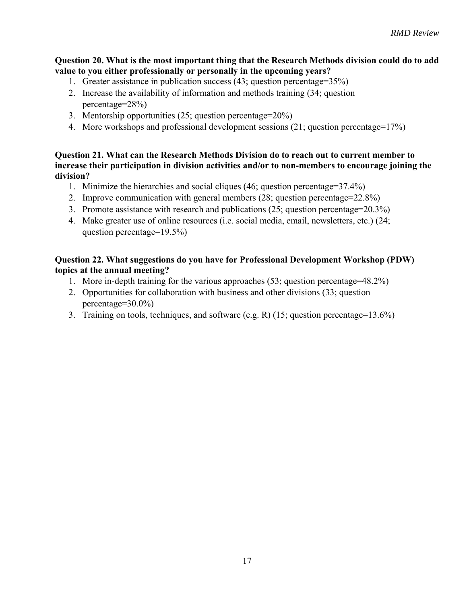### **Question 20. What is the most important thing that the Research Methods division could do to add value to you either professionally or personally in the upcoming years?**

- 1. Greater assistance in publication success (43; question percentage=35%)
- 2. Increase the availability of information and methods training (34; question percentage=28%)
- 3. Mentorship opportunities (25; question percentage=20%)
- 4. More workshops and professional development sessions (21; question percentage=17%)

## **Question 21. What can the Research Methods Division do to reach out to current member to increase their participation in division activities and/or to non-members to encourage joining the division?**

- 1. Minimize the hierarchies and social cliques (46; question percentage=37.4%)
- 2. Improve communication with general members (28; question percentage=22.8%)
- 3. Promote assistance with research and publications (25; question percentage=20.3%)
- 4. Make greater use of online resources (i.e. social media, email, newsletters, etc.) (24; question percentage=19.5%)

## **Question 22. What suggestions do you have for Professional Development Workshop (PDW) topics at the annual meeting?**

- 1. More in-depth training for the various approaches (53; question percentage=48.2%)
- 2. Opportunities for collaboration with business and other divisions (33; question percentage=30.0%)
- 3. Training on tools, techniques, and software (e.g. R) (15; question percentage=13.6%)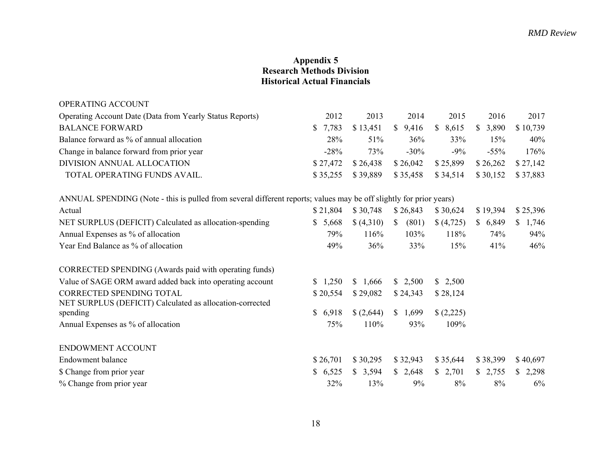#### **Appendix 5 Research Methods Division Historical Actual Financials**

#### OPERATING ACCOUNT

| Operating Account Date (Data from Yearly Status Reports) | 2012     | 2013     | 2014     | 2015                       | 2016     | 2017     |
|----------------------------------------------------------|----------|----------|----------|----------------------------|----------|----------|
| <b>BALANCE FORWARD</b>                                   | \$ 7,783 | \$13,451 |          | $$9,416$ $$8,615$ $$3,890$ |          | \$10.739 |
| Balance forward as % of annual allocation                | 28%      | 51%      | 36%      | 33%                        | 15%      | 40%      |
| Change in balance forward from prior year                | $-28%$   | 73%      | $-30\%$  | $-9\%$                     | $-55\%$  | 176%     |
| DIVISION ANNUAL ALLOCATION                               | \$27.472 | \$26.438 | \$26,042 | \$25,899                   | \$26,262 | \$27.142 |
| TOTAL OPERATING FUNDS AVAIL.                             | \$35.255 | \$39.889 | \$35,458 | \$34,514                   | \$30,152 | \$37,883 |

ANNUAL SPENDING (Note - this is pulled from several different reports; values may be off slightly for prior years)

| Actual                                                    | \$21,804                | \$30,748              | \$26,843               | \$30,624  | \$19,394 | \$25,396 |
|-----------------------------------------------------------|-------------------------|-----------------------|------------------------|-----------|----------|----------|
| NET SURPLUS (DEFICIT) Calculated as allocation-spending   | 5,668<br>\$             | \$(4,310)             | (801)<br><sup>\$</sup> | \$(4,725) | \$6,849  | \$1,746  |
| Annual Expenses as % of allocation                        | 79%                     | 116%                  | 103%                   | 118%      | 74%      | 94%      |
| Year End Balance as % of allocation                       | 49%                     | 36%                   | 33%                    | 15%       | 41%      | 46%      |
| CORRECTED SPENDING (Awards paid with operating funds)     |                         |                       |                        |           |          |          |
| Value of SAGE ORM award added back into operating account | S.<br>1,250             | <sup>S</sup><br>1,666 | \$2,500                | \$2,500   |          |          |
| <b>CORRECTED SPENDING TOTAL</b>                           | \$20,554                | \$29,082              | \$24,343               | \$28,124  |          |          |
| NET SURPLUS (DEFICIT) Calculated as allocation-corrected  |                         |                       |                        |           |          |          |
| spending                                                  | 6,918<br>$\mathbb{S}^-$ | \$(2,644)             | \$1,699                | (2,225)   |          |          |
| Annual Expenses as % of allocation                        | 75%                     | 110%                  | 93%                    | 109%      |          |          |
| <b>ENDOWMENT ACCOUNT</b>                                  |                         |                       |                        |           |          |          |
| Endowment balance                                         | \$26,701                | \$30,295              | \$32,943               | \$35,644  | \$38,399 | \$40,697 |
| \$ Change from prior year                                 | \$6,525                 | \$3,594               | \$2,648                | \$2,701   | \$2,755  | \$2,298  |
| % Change from prior year                                  | 32%                     | 13%                   | 9%                     | 8%        | 8%       | 6%       |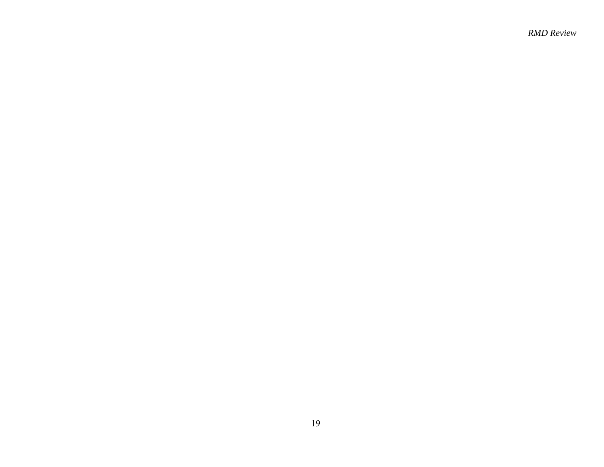*RMD Review*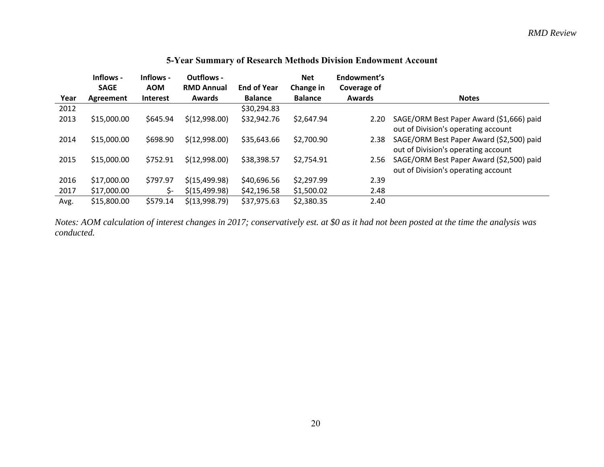|      | Inflows -<br><b>SAGE</b> | Inflows -<br><b>AOM</b> | <b>Outflows -</b><br><b>RMD Annual</b> | <b>End of Year</b> | <b>Net</b><br>Change in | Endowment's<br>Coverage of |                                                                                 |
|------|--------------------------|-------------------------|----------------------------------------|--------------------|-------------------------|----------------------------|---------------------------------------------------------------------------------|
| Year | Agreement                | <b>Interest</b>         | <b>Awards</b>                          | <b>Balance</b>     | <b>Balance</b>          | <b>Awards</b>              | <b>Notes</b>                                                                    |
| 2012 |                          |                         |                                        | \$30,294.83        |                         |                            |                                                                                 |
| 2013 | \$15,000.00              | \$645.94                | \$(12,998.00)                          | \$32,942.76        | \$2,647.94              | 2.20                       | SAGE/ORM Best Paper Award (\$1,666) paid<br>out of Division's operating account |
| 2014 | \$15,000.00              | \$698.90                | \$(12,998.00)                          | \$35,643.66        | \$2,700.90              | 2.38                       | SAGE/ORM Best Paper Award (\$2,500) paid<br>out of Division's operating account |
| 2015 | \$15,000.00              | \$752.91                | \$(12,998.00)                          | \$38,398.57        | \$2,754.91              | 2.56                       | SAGE/ORM Best Paper Award (\$2,500) paid<br>out of Division's operating account |
| 2016 | \$17,000.00              | \$797.97                | \$(15, 499.98)                         | \$40,696.56        | \$2,297.99              | 2.39                       |                                                                                 |
| 2017 | \$17,000.00              | \$-                     | \$(15, 499.98)                         | \$42,196.58        | \$1,500.02              | 2.48                       |                                                                                 |
| Avg. | \$15,800.00              | \$579.14                | \$(13,998.79)                          | \$37,975.63        | \$2,380.35              | 2.40                       |                                                                                 |

# **5-Year Summary of Research Methods Division Endowment Account**

*Notes: AOM calculation of interest changes in 2017; conservatively est. at \$0 as it had not been posted at the time the analysis was conducted.*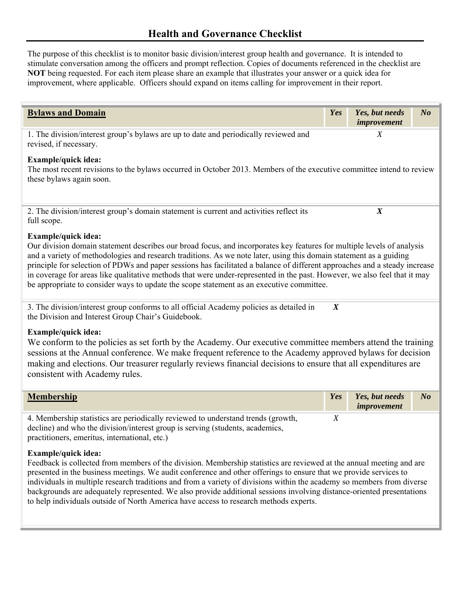The purpose of this checklist is to monitor basic division/interest group health and governance. It is intended to stimulate conversation among the officers and prompt reflection. Copies of documents referenced in the checklist are **NOT** being requested. For each item please share an example that illustrates your answer or a quick idea for improvement, where applicable. Officers should expand on items calling for improvement in their report.

| <b>Bylaws and Domain</b>                                                                                                                                                                                                                                                                                                                                                                                                                                                                                                                                                                                                   | Yes              | Yes, but needs<br>improvement | N <sub>o</sub> |
|----------------------------------------------------------------------------------------------------------------------------------------------------------------------------------------------------------------------------------------------------------------------------------------------------------------------------------------------------------------------------------------------------------------------------------------------------------------------------------------------------------------------------------------------------------------------------------------------------------------------------|------------------|-------------------------------|----------------|
| 1. The division/interest group's bylaws are up to date and periodically reviewed and<br>revised, if necessary.                                                                                                                                                                                                                                                                                                                                                                                                                                                                                                             |                  | X                             |                |
| Example/quick idea:<br>The most recent revisions to the bylaws occurred in October 2013. Members of the executive committee intend to review<br>these bylaws again soon.                                                                                                                                                                                                                                                                                                                                                                                                                                                   |                  |                               |                |
| 2. The division/interest group's domain statement is current and activities reflect its<br>full scope.                                                                                                                                                                                                                                                                                                                                                                                                                                                                                                                     |                  | $\boldsymbol{X}$              |                |
| Example/quick idea:<br>Our division domain statement describes our broad focus, and incorporates key features for multiple levels of analysis<br>and a variety of methodologies and research traditions. As we note later, using this domain statement as a guiding<br>principle for selection of PDWs and paper sessions has facilitated a balance of different approaches and a steady increase<br>in coverage for areas like qualitative methods that were under-represented in the past. However, we also feel that it may<br>be appropriate to consider ways to update the scope statement as an executive committee. |                  |                               |                |
| 3. The division/interest group conforms to all official Academy policies as detailed in<br>the Division and Interest Group Chair's Guidebook.                                                                                                                                                                                                                                                                                                                                                                                                                                                                              | $\boldsymbol{X}$ |                               |                |
| Example/quick idea:<br>We conform to the policies as set forth by the Academy. Our executive committee members attend the training<br>sessions at the Annual conference. We make frequent reference to the Academy approved bylaws for decision<br>making and elections. Our treasurer regularly reviews financial decisions to ensure that all expenditures are<br>consistent with Academy rules.                                                                                                                                                                                                                         |                  |                               |                |
| <b>Membership</b>                                                                                                                                                                                                                                                                                                                                                                                                                                                                                                                                                                                                          | Yes              | Yes, but needs<br>improvement | N <sub>o</sub> |
| 4. Membership statistics are periodically reviewed to understand trends (growth,<br>decline) and who the division/interest group is serving (students, academics,<br>practitioners, emeritus, international, etc.)                                                                                                                                                                                                                                                                                                                                                                                                         | X                |                               |                |
| Example/quick idea:<br>Feedback is collected from members of the division. Membership statistics are reviewed at the annual meeting and are<br>presented in the business meetings. We audit conference and other offerings to ensure that we provide services to<br>individuals in multiple research traditions and from a variety of divisions within the academy so members from diverse<br>backgrounds are adequately represented. We also provide additional sessions involving distance-oriented presentations<br>to help individuals outside of North America have access to research methods experts.               |                  |                               |                |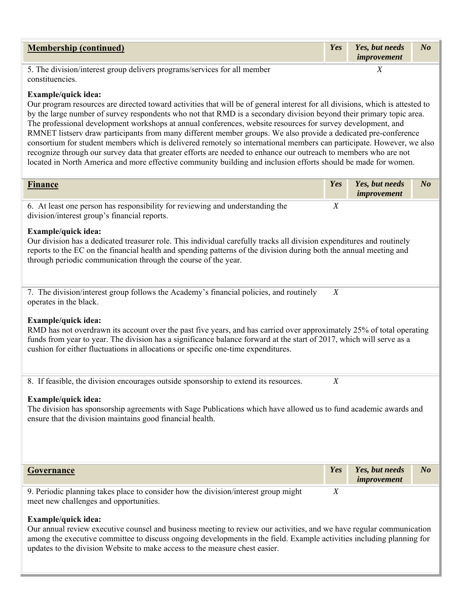| <b>Membership (continued)</b>                                            | Yes | Yes, but needs<br>improvement | No |
|--------------------------------------------------------------------------|-----|-------------------------------|----|
| 5. The division/interest group delivers programs/services for all member |     |                               |    |
| constituencies.                                                          |     |                               |    |

#### **Example/quick idea:**

Our program resources are directed toward activities that will be of general interest for all divisions, which is attested to by the large number of survey respondents who not that RMD is a secondary division beyond their primary topic area. The professional development workshops at annual conferences, website resources for survey development, and RMNET listserv draw participants from many different member groups. We also provide a dedicated pre-conference consortium for student members which is delivered remotely so international members can participate. However, we also recognize through our survey data that greater efforts are needed to enhance our outreach to members who are not located in North America and more effective community building and inclusion efforts should be made for women.

| <b>Finance</b>                                                                                                                                                                                                                                                                                                                                            | Yes              | Yes, but needs<br>improvement | N <sub>o</sub> |  |  |  |  |  |  |
|-----------------------------------------------------------------------------------------------------------------------------------------------------------------------------------------------------------------------------------------------------------------------------------------------------------------------------------------------------------|------------------|-------------------------------|----------------|--|--|--|--|--|--|
| 6. At least one person has responsibility for reviewing and understanding the<br>division/interest group's financial reports.                                                                                                                                                                                                                             | X                |                               |                |  |  |  |  |  |  |
| Example/quick idea:<br>Our division has a dedicated treasurer role. This individual carefully tracks all division expenditures and routinely<br>reports to the EC on the financial health and spending patterns of the division during both the annual meeting and<br>through periodic communication through the course of the year.                      |                  |                               |                |  |  |  |  |  |  |
| 7. The division/interest group follows the Academy's financial policies, and routinely<br>operates in the black.                                                                                                                                                                                                                                          | X                |                               |                |  |  |  |  |  |  |
| Example/quick idea:<br>RMD has not overdrawn its account over the past five years, and has carried over approximately 25% of total operating<br>funds from year to year. The division has a significance balance forward at the start of 2017, which will serve as a<br>cushion for either fluctuations in allocations or specific one-time expenditures. |                  |                               |                |  |  |  |  |  |  |
| 8. If feasible, the division encourages outside sponsorship to extend its resources.                                                                                                                                                                                                                                                                      | $\boldsymbol{X}$ |                               |                |  |  |  |  |  |  |
| Example/quick idea:<br>The division has sponsorship agreements with Sage Publications which have allowed us to fund academic awards and<br>ensure that the division maintains good financial health.                                                                                                                                                      |                  |                               |                |  |  |  |  |  |  |
| Governance                                                                                                                                                                                                                                                                                                                                                | Yes              | Yes, but needs<br>improvement | N <sub>o</sub> |  |  |  |  |  |  |
| 9. Periodic planning takes place to consider how the division/interest group might<br>meet new challenges and opportunities.                                                                                                                                                                                                                              | X                |                               |                |  |  |  |  |  |  |
| Example/quick idea:<br>Our annual review executive counsel and business meeting to review our activities, and we have regular communication<br>among the executive committee to discuss ongoing developments in the field. Example activities including planning for<br>updates to the division Website to make access to the measure chest easier.       |                  |                               |                |  |  |  |  |  |  |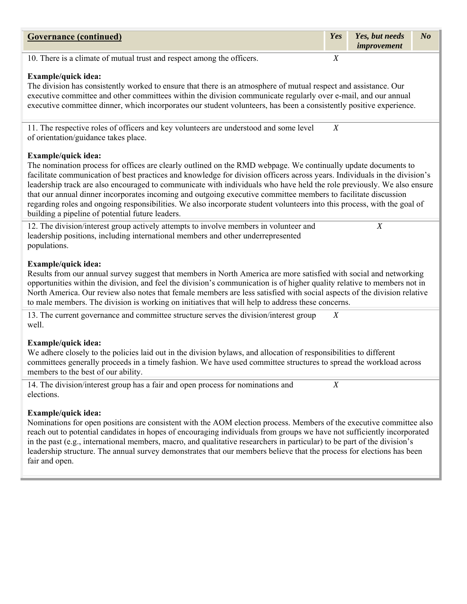| <b>Governance (continued)</b>                                                                                                                                                                                                                                                                                                                                                                                                                                                                                                                                                                                                                                                                   | Yes | Yes, but needs<br>improvement | N <sub>o</sub> |
|-------------------------------------------------------------------------------------------------------------------------------------------------------------------------------------------------------------------------------------------------------------------------------------------------------------------------------------------------------------------------------------------------------------------------------------------------------------------------------------------------------------------------------------------------------------------------------------------------------------------------------------------------------------------------------------------------|-----|-------------------------------|----------------|
| 10. There is a climate of mutual trust and respect among the officers.                                                                                                                                                                                                                                                                                                                                                                                                                                                                                                                                                                                                                          | X   |                               |                |
| Example/quick idea:<br>The division has consistently worked to ensure that there is an atmosphere of mutual respect and assistance. Our<br>executive committee and other committees within the division communicate regularly over e-mail, and our annual<br>executive committee dinner, which incorporates our student volunteers, has been a consistently positive experience.                                                                                                                                                                                                                                                                                                                |     |                               |                |
| 11. The respective roles of officers and key volunteers are understood and some level<br>of orientation/guidance takes place.                                                                                                                                                                                                                                                                                                                                                                                                                                                                                                                                                                   | X   |                               |                |
| Example/quick idea:<br>The nomination process for offices are clearly outlined on the RMD webpage. We continually update documents to<br>facilitate communication of best practices and knowledge for division officers across years. Individuals in the division's<br>leadership track are also encouraged to communicate with individuals who have held the role previously. We also ensure<br>that our annual dinner incorporates incoming and outgoing executive committee members to facilitate discussion<br>regarding roles and ongoing responsibilities. We also incorporate student volunteers into this process, with the goal of<br>building a pipeline of potential future leaders. |     |                               |                |
| 12. The division/interest group actively attempts to involve members in volunteer and<br>leadership positions, including international members and other underrepresented<br>populations.                                                                                                                                                                                                                                                                                                                                                                                                                                                                                                       |     | X                             |                |
| Example/quick idea:<br>Results from our annual survey suggest that members in North America are more satisfied with social and networking<br>opportunities within the division, and feel the division's communication is of higher quality relative to members not in<br>North America. Our review also notes that female members are less satisfied with social aspects of the division relative<br>to male members. The division is working on initiatives that will help to address these concerns.                                                                                                                                                                                          |     |                               |                |
| 13. The current governance and committee structure serves the division/interest group<br>well.                                                                                                                                                                                                                                                                                                                                                                                                                                                                                                                                                                                                  | X   |                               |                |
| Example/quick idea:<br>We adhere closely to the policies laid out in the division bylaws, and allocation of responsibilities to different<br>committees generally proceeds in a timely fashion. We have used committee structures to spread the workload across<br>members to the best of our ability.                                                                                                                                                                                                                                                                                                                                                                                          |     |                               |                |
| 14. The division/interest group has a fair and open process for nominations and<br>elections.                                                                                                                                                                                                                                                                                                                                                                                                                                                                                                                                                                                                   | X   |                               |                |
| Example/quick idea:<br>Nominations for open positions are consistent with the AOM election process. Members of the executive committee also<br>reach out to potential candidates in hopes of encouraging individuals from groups we have not sufficiently incorporated<br>in the past (e.g., international members, macro, and qualitative researchers in particular) to be part of the division's<br>leadership structure. The annual survey demonstrates that our members believe that the process for elections has been                                                                                                                                                                     |     |                               |                |

fair and open.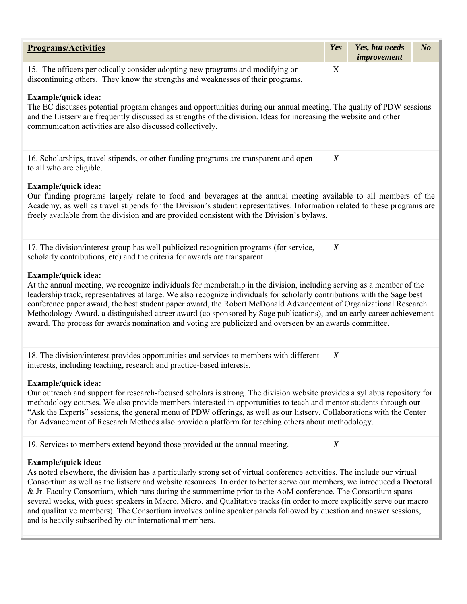| <b>Programs/Activities</b>                                                                                                                                                                                                                                                                                                                                                                                                                                                                                                                                                                                                                                                                             | Yes              | Yes, but needs<br>improvement | N <sub>o</sub> |  |  |
|--------------------------------------------------------------------------------------------------------------------------------------------------------------------------------------------------------------------------------------------------------------------------------------------------------------------------------------------------------------------------------------------------------------------------------------------------------------------------------------------------------------------------------------------------------------------------------------------------------------------------------------------------------------------------------------------------------|------------------|-------------------------------|----------------|--|--|
| 15. The officers periodically consider adopting new programs and modifying or<br>discontinuing others. They know the strengths and weaknesses of their programs.                                                                                                                                                                                                                                                                                                                                                                                                                                                                                                                                       | X                |                               |                |  |  |
| Example/quick idea:<br>The EC discusses potential program changes and opportunities during our annual meeting. The quality of PDW sessions<br>and the Listserv are frequently discussed as strengths of the division. Ideas for increasing the website and other<br>communication activities are also discussed collectively.                                                                                                                                                                                                                                                                                                                                                                          |                  |                               |                |  |  |
| 16. Scholarships, travel stipends, or other funding programs are transparent and open<br>to all who are eligible.                                                                                                                                                                                                                                                                                                                                                                                                                                                                                                                                                                                      | X                |                               |                |  |  |
| Example/quick idea:<br>Our funding programs largely relate to food and beverages at the annual meeting available to all members of the<br>Academy, as well as travel stipends for the Division's student representatives. Information related to these programs are<br>freely available from the division and are provided consistent with the Division's bylaws.                                                                                                                                                                                                                                                                                                                                      |                  |                               |                |  |  |
| 17. The division/interest group has well publicized recognition programs (for service,<br>scholarly contributions, etc) and the criteria for awards are transparent.                                                                                                                                                                                                                                                                                                                                                                                                                                                                                                                                   | X                |                               |                |  |  |
| Example/quick idea:<br>At the annual meeting, we recognize individuals for membership in the division, including serving as a member of the<br>leadership track, representatives at large. We also recognize individuals for scholarly contributions with the Sage best<br>conference paper award, the best student paper award, the Robert McDonald Advancement of Organizational Research<br>Methodology Award, a distinguished career award (co sponsored by Sage publications), and an early career achievement<br>award. The process for awards nomination and voting are publicized and overseen by an awards committee.                                                                         |                  |                               |                |  |  |
| 18. The division/interest provides opportunities and services to members with different<br>interests, including teaching, research and practice-based interests.                                                                                                                                                                                                                                                                                                                                                                                                                                                                                                                                       | $\boldsymbol{X}$ |                               |                |  |  |
| Example/quick idea:<br>Our outreach and support for research-focused scholars is strong. The division website provides a syllabus repository for<br>methodology courses. We also provide members interested in opportunities to teach and mentor students through our<br>"Ask the Experts" sessions, the general menu of PDW offerings, as well as our listserv. Collaborations with the Center<br>for Advancement of Research Methods also provide a platform for teaching others about methodology.                                                                                                                                                                                                  |                  |                               |                |  |  |
| 19. Services to members extend beyond those provided at the annual meeting.                                                                                                                                                                                                                                                                                                                                                                                                                                                                                                                                                                                                                            | X                |                               |                |  |  |
| Example/quick idea:<br>As noted elsewhere, the division has a particularly strong set of virtual conference activities. The include our virtual<br>Consortium as well as the listserv and website resources. In order to better serve our members, we introduced a Doctoral<br>& Jr. Faculty Consortium, which runs during the summertime prior to the AoM conference. The Consortium spans<br>several weeks, with guest speakers in Macro, Micro, and Qualitative tracks (in order to more explicitly serve our macro<br>and qualitative members). The Consortium involves online speaker panels followed by question and answer sessions,<br>and is heavily subscribed by our international members. |                  |                               |                |  |  |